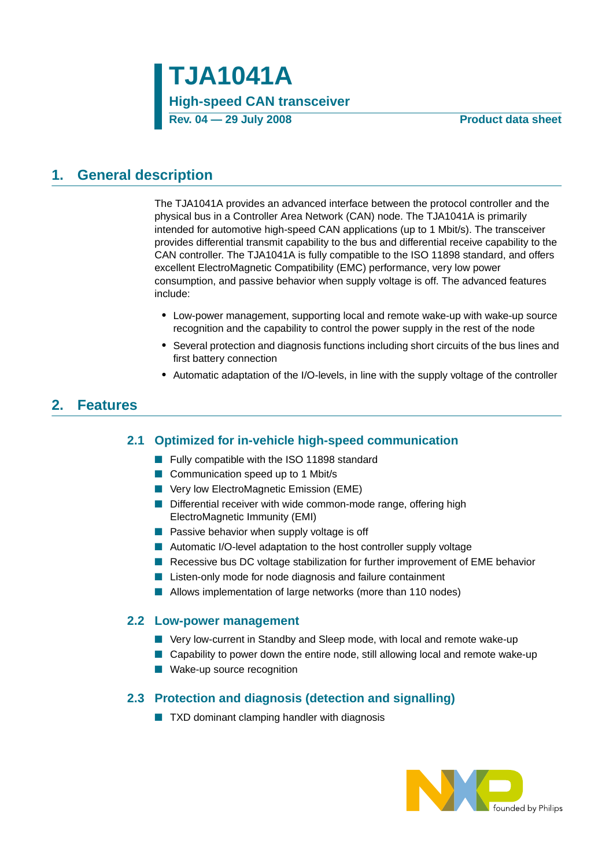# <span id="page-0-0"></span>**1. General description**

The TJA1041A provides an advanced interface between the protocol controller and the physical bus in a Controller Area Network (CAN) node. The TJA1041A is primarily intended for automotive high-speed CAN applications (up to 1 Mbit/s). The transceiver provides differential transmit capability to the bus and differential receive capability to the CAN controller. The TJA1041A is fully compatible to the ISO 11898 standard, and offers excellent ElectroMagnetic Compatibility (EMC) performance, very low power consumption, and passive behavior when supply voltage is off. The advanced features include:

- **•** Low-power management, supporting local and remote wake-up with wake-up source recognition and the capability to control the power supply in the rest of the node
- **•** Several protection and diagnosis functions including short circuits of the bus lines and first battery connection
- **•** Automatic adaptation of the I/O-levels, in line with the supply voltage of the controller

# <span id="page-0-2"></span><span id="page-0-1"></span>**2. Features**

### **2.1 Optimized for in-vehicle high-speed communication**

- Fully compatible with the ISO 11898 standard
- Communication speed up to 1 Mbit/s
- Very low ElectroMagnetic Emission (EME)
- Differential receiver with wide common-mode range, offering high ElectroMagnetic Immunity (EMI)
- Passive behavior when supply voltage is off
- Automatic I/O-level adaptation to the host controller supply voltage
- Recessive bus DC voltage stabilization for further improvement of EME behavior
- Listen-only mode for node diagnosis and failure containment
- Allows implementation of large networks (more than 110 nodes)

### <span id="page-0-3"></span>**2.2 Low-power management**

- Very low-current in Standby and Sleep mode, with local and remote wake-up
- Capability to power down the entire node, still allowing local and remote wake-up
- Wake-up source recognition

### <span id="page-0-4"></span>**2.3 Protection and diagnosis (detection and signalling)**

■ TXD dominant clamping handler with diagnosis

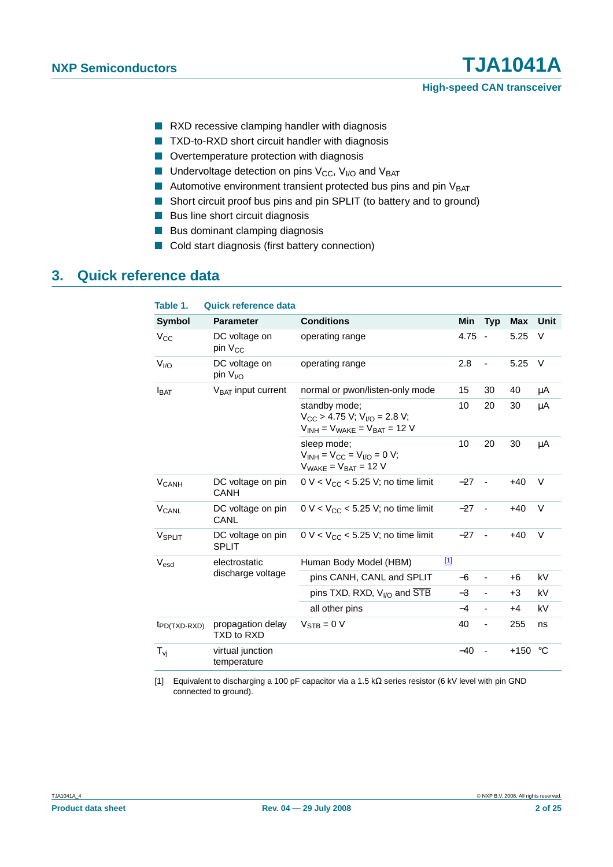- RXD recessive clamping handler with diagnosis
- TXD-to-RXD short circuit handler with diagnosis
- Overtemperature protection with diagnosis
- $\blacksquare$  Undervoltage detection on pins  $V_{CC}$ ,  $V_{I/O}$  and  $V_{BAT}$
- **■** Automotive environment transient protected bus pins and pin  $V_{\text{BAT}}$
- Short circuit proof bus pins and pin SPLIT (to battery and to ground)
- Bus line short circuit diagnosis
- Bus dominant clamping diagnosis
- Cold start diagnosis (first battery connection)

### <span id="page-1-1"></span>**3. Quick reference data**

| Table 1.                | <b>Quick reference data</b>          |                                                                                                            |             |                          |            |              |
|-------------------------|--------------------------------------|------------------------------------------------------------------------------------------------------------|-------------|--------------------------|------------|--------------|
| <b>Symbol</b>           | <b>Parameter</b>                     | <b>Conditions</b>                                                                                          | Min         | <b>Typ</b>               | <b>Max</b> | Unit         |
| $V_{CC}$                | DC voltage on<br>pin V <sub>CC</sub> | operating range                                                                                            | 4.75        | $\sim$                   | 5.25       | V            |
| V <sub>I/O</sub>        | DC voltage on<br>pin $V_{I/O}$       | operating range                                                                                            | 2.8         | $\overline{\phantom{a}}$ | 5.25       | V            |
| $I_{BAT}$               | $VBAT$ input current                 | normal or pwon/listen-only mode                                                                            | 15          | 30                       | 40         | μA           |
|                         |                                      | standby mode;<br>$V_{CC}$ > 4.75 V; V <sub>I/O</sub> = 2.8 V;<br>$V_{INH}$ = $V_{WAKE}$ = $V_{BAT}$ = 12 V | 10          | 20                       | 30         | μA           |
|                         |                                      | sleep mode;<br>$V_{INH} = V_{CC} = V_{I/O} = 0 V$ ;<br>$V_{\text{WAKE}} = V_{\text{BAT}} = 12 \text{ V}$   | 10          | 20                       | 30         | μA           |
| <b>V<sub>CANH</sub></b> | DC voltage on pin<br><b>CANH</b>     | $0 \text{ V} < V_{\text{CC}} < 5.25 \text{ V}$ ; no time limit                                             | $-27$       | $\sim$                   | $+40$      | $\vee$       |
| <b>V<sub>CANL</sub></b> | DC voltage on pin<br>CANL            | $0 \text{ V} < V_{\text{CC}} < 5.25 \text{ V}$ ; no time limit                                             | $-27 -$     |                          | $+40$      | V            |
| V <sub>SPLIT</sub>      | DC voltage on pin<br><b>SPLIT</b>    | $0 \text{ V} < V_{\text{CC}} < 5.25 \text{ V}$ ; no time limit                                             | $-27 -$     |                          | $+40$      | V            |
| V <sub>esd</sub>        | electrostatic                        | Human Body Model (HBM)                                                                                     | $\boxed{1}$ |                          |            |              |
|                         | discharge voltage                    | pins CANH, CANL and SPLIT                                                                                  | $-6$        | $\overline{\phantom{a}}$ | +6         | kV           |
|                         |                                      | pins TXD, RXD, $V_{I/O}$ and $\overline{\text{STB}}$                                                       | $-3$        | $\blacksquare$           | $+3$       | kV           |
|                         |                                      | all other pins                                                                                             | $-4$        | $\overline{\phantom{a}}$ | $+4$       | kV           |
| $tpD(TXD-RXD)$          | propagation delay<br>TXD to RXD      | $V_{\text{STB}} = 0 V$                                                                                     | 40          | $\blacksquare$           | 255        | ns           |
| $T_{vj}$                | virtual junction<br>temperature      |                                                                                                            | $-40$       |                          | +150       | $^{\circ}$ C |

<span id="page-1-0"></span>[1] Equivalent to discharging a 100 pF capacitor via a 1.5 kΩ series resistor (6 kV level with pin GND connected to ground).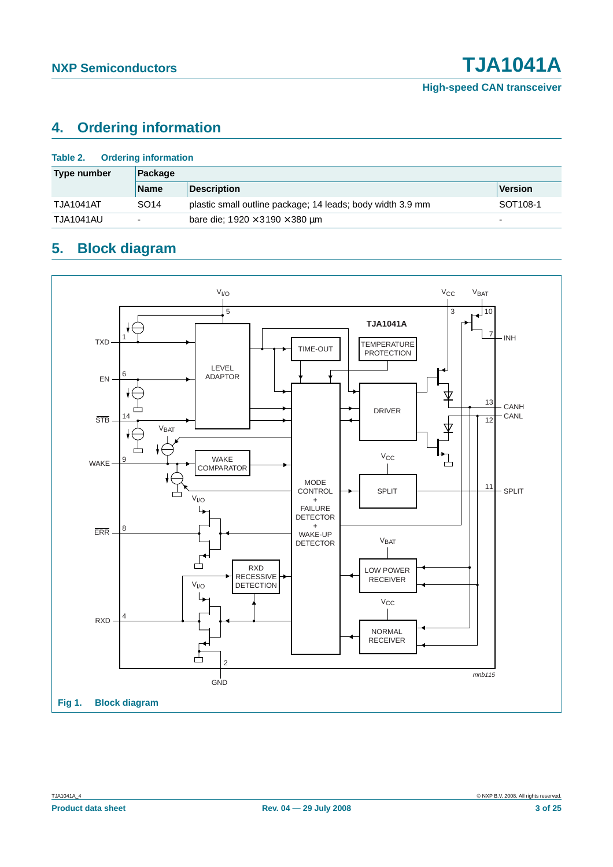# <span id="page-2-0"></span>**4. Ordering information**

| <b>Ordering information</b><br>Table 2. |                  |                                                            |                          |  |  |  |
|-----------------------------------------|------------------|------------------------------------------------------------|--------------------------|--|--|--|
| Type number                             | Package          |                                                            |                          |  |  |  |
|                                         | <b>Name</b>      | <b>Description</b>                                         | <b>Version</b>           |  |  |  |
| <b>TJA1041AT</b>                        | SO <sub>14</sub> | plastic small outline package; 14 leads; body width 3.9 mm | SOT <sub>108-1</sub>     |  |  |  |
| <b>TJA1041AU</b>                        | ۰                | bare die: $1920 \times 3190 \times 380$ um                 | $\overline{\phantom{a}}$ |  |  |  |

# <span id="page-2-1"></span>**5. Block diagram**

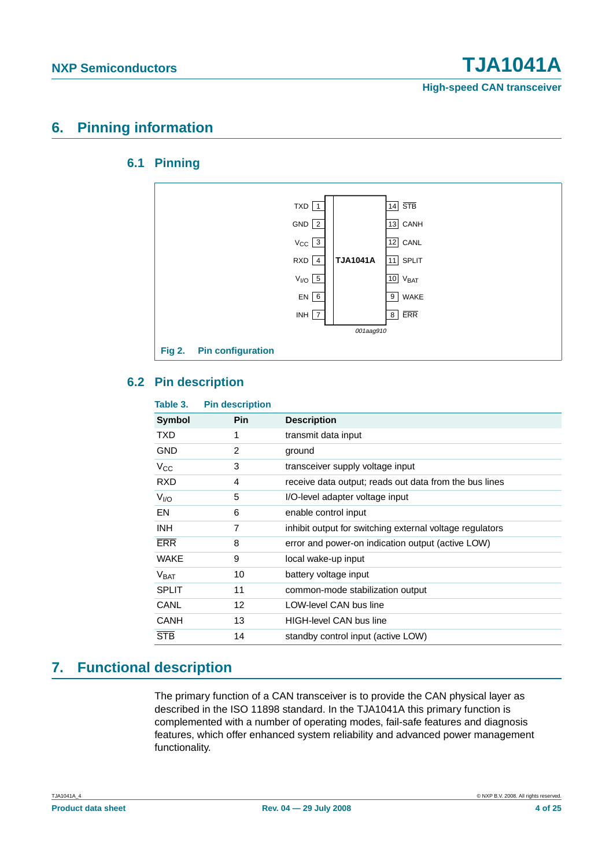# <span id="page-3-1"></span><span id="page-3-0"></span>**6. Pinning information**

### **6.1 Pinning**



### <span id="page-3-2"></span>**6.2 Pin description**

### **Table 3. Pin description**

| יש טושטו         | <b>THE GOODING OF</b> |                                                          |
|------------------|-----------------------|----------------------------------------------------------|
| Symbol           | <b>Pin</b>            | <b>Description</b>                                       |
| TXD.             | 1                     | transmit data input                                      |
| <b>GND</b>       | 2                     | ground                                                   |
| $V_{\rm CC}$     | 3                     | transceiver supply voltage input                         |
| <b>RXD</b>       | 4                     | receive data output; reads out data from the bus lines   |
| $V_{VQ}$         | 5                     | I/O-level adapter voltage input                          |
| EN               | 6                     | enable control input                                     |
| <b>INH</b>       | 7                     | inhibit output for switching external voltage regulators |
| <b>ERR</b>       | 8                     | error and power-on indication output (active LOW)        |
| <b>WAKE</b>      | 9                     | local wake-up input                                      |
| V <sub>BAT</sub> | 10                    | battery voltage input                                    |
| <b>SPLIT</b>     | 11                    | common-mode stabilization output                         |
| CANL             | 12                    | LOW-level CAN bus line                                   |
| <b>CANH</b>      | 13                    | <b>HIGH-level CAN bus line</b>                           |
| <b>STB</b>       | 14                    | standby control input (active LOW)                       |
|                  |                       |                                                          |

# <span id="page-3-3"></span>**7. Functional description**

The primary function of a CAN transceiver is to provide the CAN physical layer as described in the ISO 11898 standard. In the TJA1041A this primary function is complemented with a number of operating modes, fail-safe features and diagnosis features, which offer enhanced system reliability and advanced power management functionality.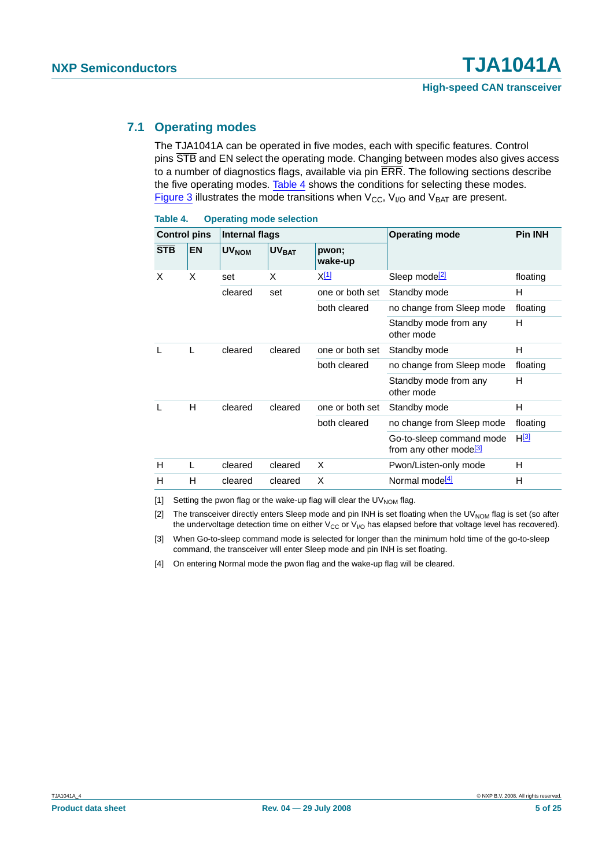### <span id="page-4-5"></span>**7.1 Operating modes**

The TJA1041A can be operated in five modes, each with specific features. Control pins STB and EN select the operating mode. Changing between modes also gives access to a number of diagnostics flags, available via pin  $\overline{\text{ERR}}$ . The following sections describe the five operating modes. [Table](#page-4-4) 4 shows the conditions for selecting these modes. [Figure](#page-5-0) 3 illustrates the mode transitions when  $V_{CC}$ ,  $V_{1/0}$  and  $V_{BAT}$  are present.

| <b>Control pins</b> |           | <b>Internal flags</b>   |                         |                  | <b>Operating mode</b>                                          | <b>Pin INH</b>   |  |
|---------------------|-----------|-------------------------|-------------------------|------------------|----------------------------------------------------------------|------------------|--|
| <b>STB</b>          | <b>EN</b> | <b>UV<sub>NOM</sub></b> | <b>UV<sub>BAT</sub></b> | pwon;<br>wake-up |                                                                |                  |  |
| X                   | X         | set                     | X                       | <u>X[1]</u>      | Sleep mode <sup>[2]</sup>                                      | floating         |  |
|                     |           | cleared                 | set                     | one or both set  | Standby mode                                                   | н                |  |
|                     |           |                         |                         | both cleared     | no change from Sleep mode                                      | floating         |  |
|                     |           |                         |                         |                  | Standby mode from any<br>other mode                            | н                |  |
|                     |           | cleared                 | cleared                 | one or both set  | Standby mode                                                   | н                |  |
|                     |           |                         |                         | both cleared     | no change from Sleep mode                                      | floating         |  |
|                     |           |                         |                         |                  | Standby mode from any<br>other mode                            | н                |  |
|                     | н         | cleared                 | cleared                 | one or both set  | Standby mode                                                   | н                |  |
|                     |           |                         |                         | both cleared     | no change from Sleep mode                                      | floating         |  |
|                     |           |                         |                         |                  | Go-to-sleep command mode<br>from any other mode <sup>[3]</sup> | H <sup>[3]</sup> |  |
| н                   |           | cleared                 | cleared                 | X                | Pwon/Listen-only mode                                          | н                |  |
| н                   | н         | cleared                 | cleared                 | X                | Normal mode <sup>[4]</sup>                                     | н                |  |
|                     |           |                         |                         |                  |                                                                |                  |  |

<span id="page-4-4"></span>**Table 4. Operating mode selection**

<span id="page-4-0"></span>[1] Setting the pwon flag or the wake-up flag will clear the UV<sub>NOM</sub> flag.

<span id="page-4-1"></span>[2] The transceiver directly enters Sleep mode and pin INH is set floating when the UV<sub>NOM</sub> flag is set (so after the undervoltage detection time on either  $V_{CC}$  or  $V_{U\Omega}$  has elapsed before that voltage level has recovered).

<span id="page-4-2"></span>[3] When Go-to-sleep command mode is selected for longer than the minimum hold time of the go-to-sleep command, the transceiver will enter Sleep mode and pin INH is set floating.

<span id="page-4-3"></span>[4] On entering Normal mode the pwon flag and the wake-up flag will be cleared.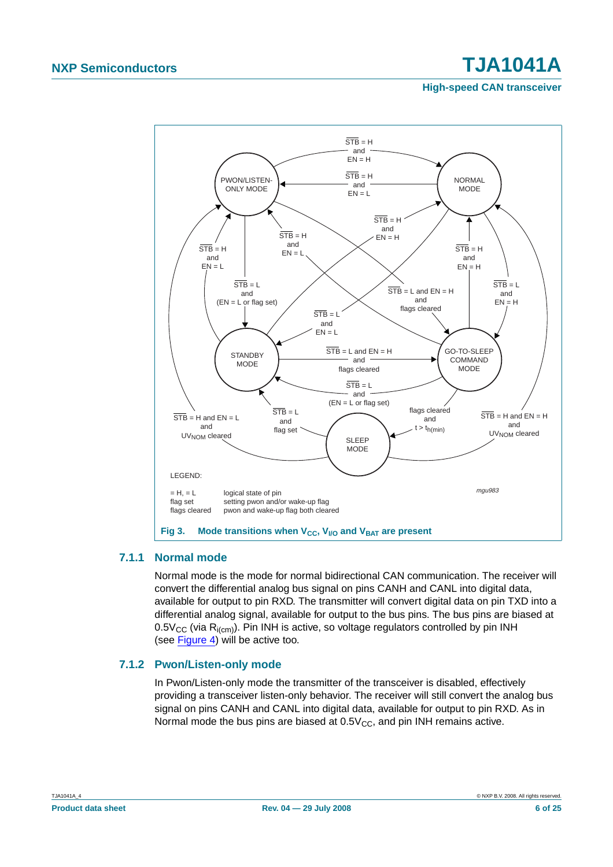**High-speed CAN transceiver**



### <span id="page-5-1"></span><span id="page-5-0"></span>**7.1.1 Normal mode**

Normal mode is the mode for normal bidirectional CAN communication. The receiver will convert the differential analog bus signal on pins CANH and CANL into digital data, available for output to pin RXD. The transmitter will convert digital data on pin TXD into a differential analog signal, available for output to the bus pins. The bus pins are biased at  $0.5V_{CC}$  (via R<sub>i(cm)</sub>). Pin INH is active, so voltage regulators controlled by pin INH (see [Figure](#page-14-0) 4) will be active too.

### <span id="page-5-2"></span>**7.1.2 Pwon/Listen-only mode**

In Pwon/Listen-only mode the transmitter of the transceiver is disabled, effectively providing a transceiver listen-only behavior. The receiver will still convert the analog bus signal on pins CANH and CANL into digital data, available for output to pin RXD. As in Normal mode the bus pins are biased at  $0.5V_{CC}$ , and pin INH remains active.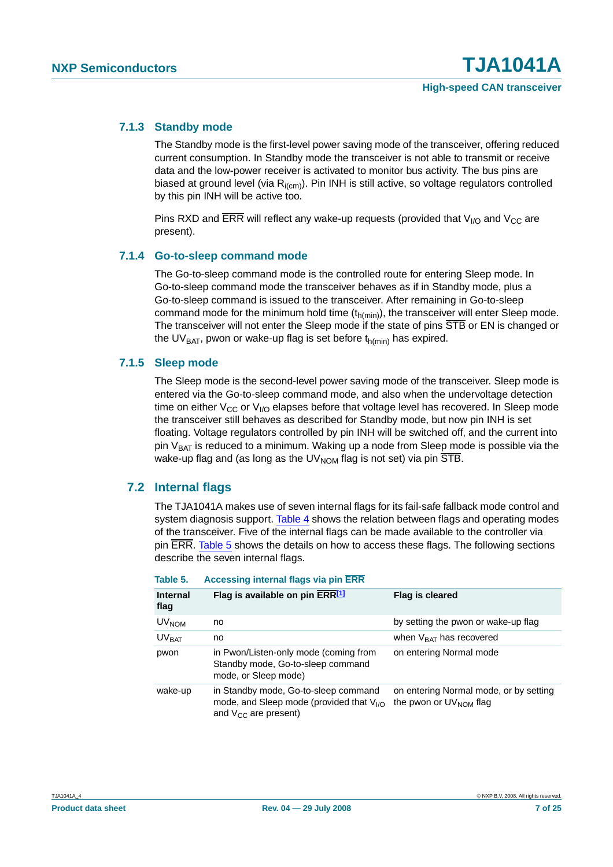### <span id="page-6-1"></span>**7.1.3 Standby mode**

The Standby mode is the first-level power saving mode of the transceiver, offering reduced current consumption. In Standby mode the transceiver is not able to transmit or receive data and the low-power receiver is activated to monitor bus activity. The bus pins are biased at ground level (via  $R_{i(cm)}$ ). Pin INH is still active, so voltage regulators controlled by this pin INH will be active too.

Pins RXD and  $\overline{\text{ERR}}$  will reflect any wake-up requests (provided that  $V_{\text{IO}}$  and  $V_{\text{CC}}$  are present).

### <span id="page-6-2"></span>**7.1.4 Go-to-sleep command mode**

The Go-to-sleep command mode is the controlled route for entering Sleep mode. In Go-to-sleep command mode the transceiver behaves as if in Standby mode, plus a Go-to-sleep command is issued to the transceiver. After remaining in Go-to-sleep command mode for the minimum hold time  $(t_{h(min)})$ , the transceiver will enter Sleep mode. The transceiver will not enter the Sleep mode if the state of pins  $\overline{STB}$  or EN is changed or the UV<sub>BAT</sub>, pwon or wake-up flag is set before t<sub>h(min)</sub> has expired.

### <span id="page-6-3"></span>**7.1.5 Sleep mode**

The Sleep mode is the second-level power saving mode of the transceiver. Sleep mode is entered via the Go-to-sleep command mode, and also when the undervoltage detection time on either  $V_{CC}$  or  $V_{U\Omega}$  elapses before that voltage level has recovered. In Sleep mode the transceiver still behaves as described for Standby mode, but now pin INH is set floating. Voltage regulators controlled by pin INH will be switched off, and the current into pin  $V<sub>BAT</sub>$  is reduced to a minimum. Waking up a node from Sleep mode is possible via the wake-up flag and (as long as the UV<sub>NOM</sub> flag is not set) via pin  $\overline{\text{STB}}$ .

### <span id="page-6-4"></span>**7.2 Internal flags**

The TJA1041A makes use of seven internal flags for its fail-safe fallback mode control and system diagnosis support. [Table](#page-4-4) 4 shows the relation between flags and operating modes of the transceiver. Five of the internal flags can be made available to the controller via pin ERR. [Table](#page-6-0) 5 shows the details on how to access these flags. The following sections describe the seven internal flags.

| <b>Internal</b><br>flag | Flag is available on pin ERR <sup>[1]</sup>                                                                        | Flag is cleared                                                       |
|-------------------------|--------------------------------------------------------------------------------------------------------------------|-----------------------------------------------------------------------|
| UV <sub>NOM</sub>       | no                                                                                                                 | by setting the pwon or wake-up flag                                   |
| <b>UV<sub>RAT</sub></b> | no                                                                                                                 | when $V_{\text{BAT}}$ has recovered                                   |
| pwon                    | in Pwon/Listen-only mode (coming from<br>Standby mode, Go-to-sleep command<br>mode, or Sleep mode)                 | on entering Normal mode                                               |
| wake-up                 | in Standby mode, Go-to-sleep command<br>mode, and Sleep mode (provided that $V_{I/O}$<br>and $V_{CC}$ are present) | on entering Normal mode, or by setting<br>the pwon or $UV_{NOM}$ flag |

### <span id="page-6-0"></span>**Table 5. Accessing internal flags via pin ERR**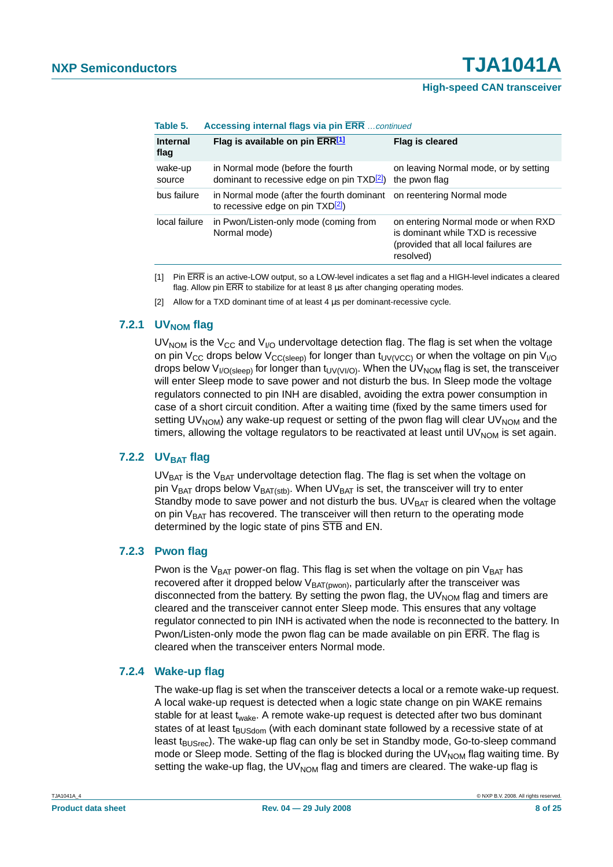### **High-speed CAN transceiver**

| Taple J.          | Accessing internal hays via pin ENN Commed                                                               |                                                                                                                                 |  |  |  |
|-------------------|----------------------------------------------------------------------------------------------------------|---------------------------------------------------------------------------------------------------------------------------------|--|--|--|
| Internal<br>flag  | Flag is available on pin $\text{ERR11}$                                                                  | <b>Flag is cleared</b>                                                                                                          |  |  |  |
| wake-up<br>source | in Normal mode (before the fourth<br>dominant to recessive edge on pin TXD <sup>[2]</sup> )              | on leaving Normal mode, or by setting<br>the pwon flag                                                                          |  |  |  |
| bus failure       | in Normal mode (after the fourth dominant on reentering Normal mode<br>to recessive edge on pin $TXD[2]$ |                                                                                                                                 |  |  |  |
| local failure     | in Pwon/Listen-only mode (coming from<br>Normal mode)                                                    | on entering Normal mode or when RXD<br>is dominant while TXD is recessive<br>(provided that all local failures are<br>resolved) |  |  |  |

**Table 5. Accessing internal flags via pin ERR** …continued

<span id="page-7-0"></span>[1] Pin ERR is an active-LOW output, so a LOW-level indicates a set flag and a HIGH-level indicates a cleared flag. Allow pin  $\overline{\textsf{ERR}}$  to stabilize for at least 8  $\mu$ s after changing operating modes.

<span id="page-7-1"></span>[2] Allow for a TXD dominant time of at least 4 µs per dominant-recessive cycle.

### <span id="page-7-2"></span>**7.2.1 UVNOM flag**

UV<sub>NOM</sub> is the V<sub>CC</sub> and V<sub>I/O</sub> undervoltage detection flag. The flag is set when the voltage on pin V<sub>CC</sub> drops below V<sub>CC(sleep)</sub> for longer than t<sub>UV(VCC)</sub> or when the voltage on pin V<sub>I/O</sub> drops below V<sub>I/O(sleep)</sub> for longer than  $t_{UV(V/O)}$ . When the UV<sub>NOM</sub> flag is set, the transceiver will enter Sleep mode to save power and not disturb the bus. In Sleep mode the voltage regulators connected to pin INH are disabled, avoiding the extra power consumption in case of a short circuit condition. After a waiting time (fixed by the same timers used for setting UV<sub>NOM</sub>) any wake-up request or setting of the pwon flag will clear UV<sub>NOM</sub> and the timers, allowing the voltage regulators to be reactivated at least until  $UV_{NOM}$  is set again.

### <span id="page-7-3"></span>**7.2.2 UVBAT flag**

 $UV_{BAT}$  is the  $V_{BAT}$  undervoltage detection flag. The flag is set when the voltage on pin V<sub>BAT</sub> drops below V<sub>BAT(stb)</sub>. When UV<sub>BAT</sub> is set, the transceiver will try to enter Standby mode to save power and not disturb the bus. UV $_{\text{BAT}}$  is cleared when the voltage on pin  $V<sub>BAT</sub>$  has recovered. The transceiver will then return to the operating mode determined by the logic state of pins  $\overline{\text{STB}}$  and EN.

### <span id="page-7-4"></span>**7.2.3 Pwon flag**

Pwon is the V<sub>BAT</sub> power-on flag. This flag is set when the voltage on pin V<sub>BAT</sub> has recovered after it dropped below  $V<sub>BAT(owon)</sub>$ , particularly after the transceiver was disconnected from the battery. By setting the pwon flag, the UV $_{\text{NOM}}$  flag and timers are cleared and the transceiver cannot enter Sleep mode. This ensures that any voltage regulator connected to pin INH is activated when the node is reconnected to the battery. In Pwon/Listen-only mode the pwon flag can be made available on pin ERR. The flag is cleared when the transceiver enters Normal mode.

### <span id="page-7-5"></span>**7.2.4 Wake-up flag**

The wake-up flag is set when the transceiver detects a local or a remote wake-up request. A local wake-up request is detected when a logic state change on pin WAKE remains stable for at least  $t_{\text{wake}}$ . A remote wake-up request is detected after two bus dominant states of at least  $t_{\text{BUSdom}}$  (with each dominant state followed by a recessive state of at least  $t_{\text{BJSrec}}$ ). The wake-up flag can only be set in Standby mode, Go-to-sleep command mode or Sleep mode. Setting of the flag is blocked during the UV<sub>NOM</sub> flag waiting time. By setting the wake-up flag, the UV<sub>NOM</sub> flag and timers are cleared. The wake-up flag is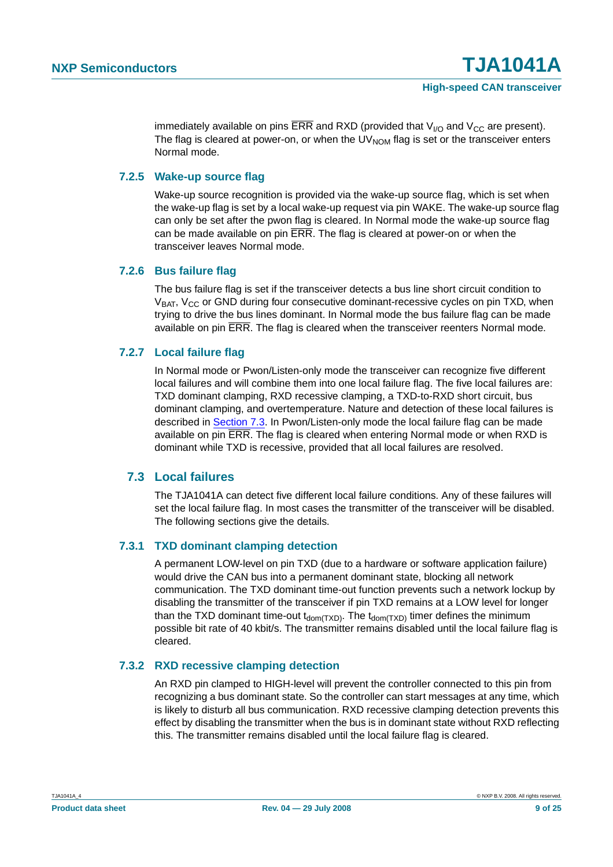immediately available on pins ERR and RXD (provided that  $V_{UO}$  and  $V_{CC}$  are present). The flag is cleared at power-on, or when the UV $_{\text{NOM}}$  flag is set or the transceiver enters Normal mode.

### <span id="page-8-1"></span>**7.2.5 Wake-up source flag**

Wake-up source recognition is provided via the wake-up source flag, which is set when the wake-up flag is set by a local wake-up request via pin WAKE. The wake-up source flag can only be set after the pwon flag is cleared. In Normal mode the wake-up source flag can be made available on pin ERR. The flag is cleared at power-on or when the transceiver leaves Normal mode.

### <span id="page-8-2"></span>**7.2.6 Bus failure flag**

The bus failure flag is set if the transceiver detects a bus line short circuit condition to  $V<sub>BAT</sub>$ ,  $V<sub>CC</sub>$  or GND during four consecutive dominant-recessive cycles on pin TXD, when trying to drive the bus lines dominant. In Normal mode the bus failure flag can be made available on pin ERR. The flag is cleared when the transceiver reenters Normal mode.

### <span id="page-8-3"></span>**7.2.7 Local failure flag**

In Normal mode or Pwon/Listen-only mode the transceiver can recognize five different local failures and will combine them into one local failure flag. The five local failures are: TXD dominant clamping, RXD recessive clamping, a TXD-to-RXD short circuit, bus dominant clamping, and overtemperature. Nature and detection of these local failures is described in [Section](#page-8-0) 7.3. In Pwon/Listen-only mode the local failure flag can be made available on pin ERR. The flag is cleared when entering Normal mode or when RXD is dominant while TXD is recessive, provided that all local failures are resolved.

### <span id="page-8-0"></span>**7.3 Local failures**

The TJA1041A can detect five different local failure conditions. Any of these failures will set the local failure flag. In most cases the transmitter of the transceiver will be disabled. The following sections give the details.

### <span id="page-8-4"></span>**7.3.1 TXD dominant clamping detection**

A permanent LOW-level on pin TXD (due to a hardware or software application failure) would drive the CAN bus into a permanent dominant state, blocking all network communication. The TXD dominant time-out function prevents such a network lockup by disabling the transmitter of the transceiver if pin TXD remains at a LOW level for longer than the TXD dominant time-out  $t_{dom(TXD)}$ . The  $t_{dom(TXD)}$  timer defines the minimum possible bit rate of 40 kbit/s. The transmitter remains disabled until the local failure flag is cleared.

### <span id="page-8-5"></span>**7.3.2 RXD recessive clamping detection**

An RXD pin clamped to HIGH-level will prevent the controller connected to this pin from recognizing a bus dominant state. So the controller can start messages at any time, which is likely to disturb all bus communication. RXD recessive clamping detection prevents this effect by disabling the transmitter when the bus is in dominant state without RXD reflecting this. The transmitter remains disabled until the local failure flag is cleared.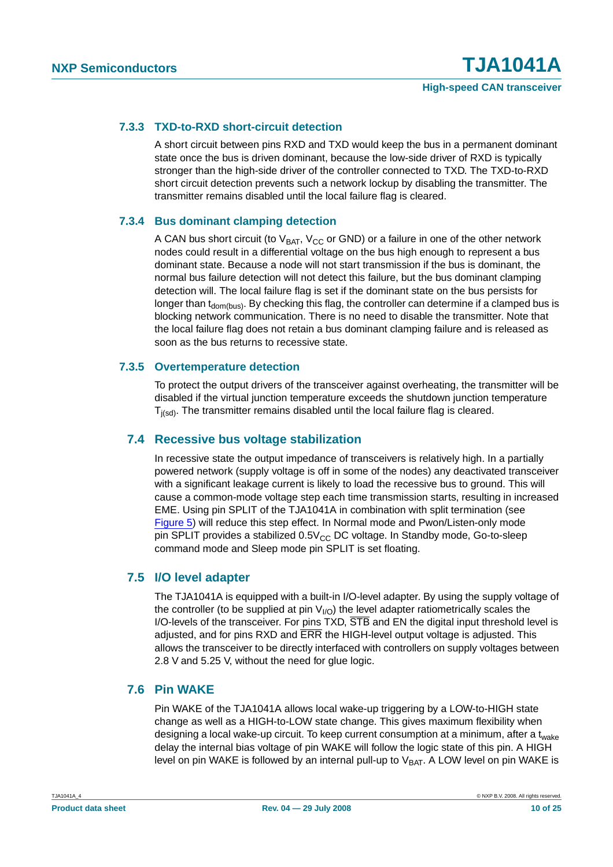### <span id="page-9-0"></span>**7.3.3 TXD-to-RXD short-circuit detection**

A short circuit between pins RXD and TXD would keep the bus in a permanent dominant state once the bus is driven dominant, because the low-side driver of RXD is typically stronger than the high-side driver of the controller connected to TXD. The TXD-to-RXD short circuit detection prevents such a network lockup by disabling the transmitter. The transmitter remains disabled until the local failure flag is cleared.

### <span id="page-9-1"></span>**7.3.4 Bus dominant clamping detection**

A CAN bus short circuit (to  $V_{BAT}$ ,  $V_{CC}$  or GND) or a failure in one of the other network nodes could result in a differential voltage on the bus high enough to represent a bus dominant state. Because a node will not start transmission if the bus is dominant, the normal bus failure detection will not detect this failure, but the bus dominant clamping detection will. The local failure flag is set if the dominant state on the bus persists for longer than  $t_{dom(bus)}$ . By checking this flag, the controller can determine if a clamped bus is blocking network communication. There is no need to disable the transmitter. Note that the local failure flag does not retain a bus dominant clamping failure and is released as soon as the bus returns to recessive state.

### <span id="page-9-2"></span>**7.3.5 Overtemperature detection**

To protect the output drivers of the transceiver against overheating, the transmitter will be disabled if the virtual junction temperature exceeds the shutdown junction temperature  $T<sub>if</sub> (s<sub>d</sub>)$ . The transmitter remains disabled until the local failure flag is cleared.

### <span id="page-9-3"></span>**7.4 Recessive bus voltage stabilization**

In recessive state the output impedance of transceivers is relatively high. In a partially powered network (supply voltage is off in some of the nodes) any deactivated transceiver with a significant leakage current is likely to load the recessive bus to ground. This will cause a common-mode voltage step each time transmission starts, resulting in increased EME. Using pin SPLIT of the TJA1041A in combination with split termination (see [Figure](#page-15-0) 5) will reduce this step effect. In Normal mode and Pwon/Listen-only mode pin SPLIT provides a stabilized  $0.5V_{CC}$  DC voltage. In Standby mode, Go-to-sleep command mode and Sleep mode pin SPLIT is set floating.

### <span id="page-9-4"></span>**7.5 I/O level adapter**

The TJA1041A is equipped with a built-in I/O-level adapter. By using the supply voltage of the controller (to be supplied at pin  $V_{I/O}$ ) the level adapter ratiometrically scales the I/O-levels of the transceiver. For pins TXD, STB and EN the digital input threshold level is adjusted, and for pins RXD and ERR the HIGH-level output voltage is adjusted. This allows the transceiver to be directly interfaced with controllers on supply voltages between 2.8 V and 5.25 V, without the need for glue logic.

### <span id="page-9-5"></span>**7.6 Pin WAKE**

Pin WAKE of the TJA1041A allows local wake-up triggering by a LOW-to-HIGH state change as well as a HIGH-to-LOW state change. This gives maximum flexibility when designing a local wake-up circuit. To keep current consumption at a minimum, after a t<sub>wake</sub> delay the internal bias voltage of pin WAKE will follow the logic state of this pin. A HIGH level on pin WAKE is followed by an internal pull-up to  $V_{\text{BAT}}$ . A LOW level on pin WAKE is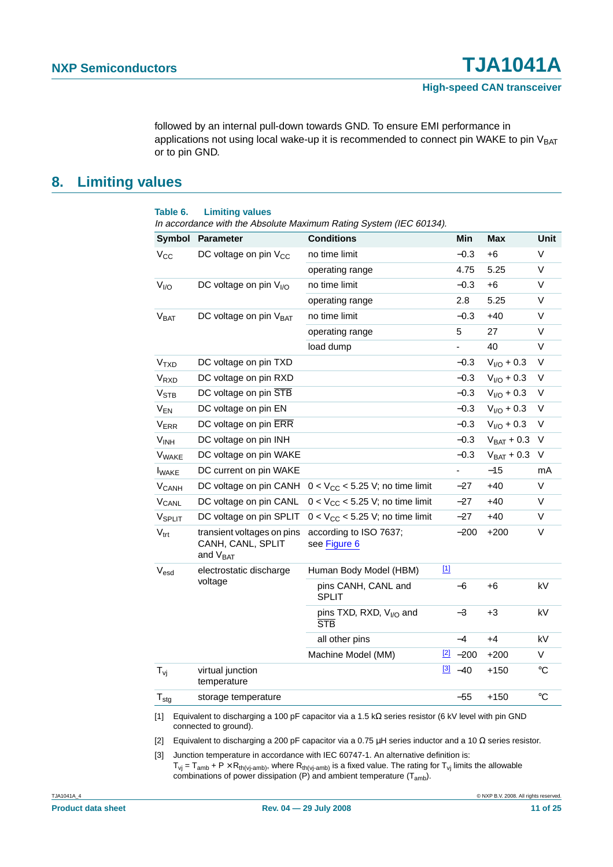followed by an internal pull-down towards GND. To ensure EMI performance in applications not using local wake-up it is recommended to connect pin WAKE to pin  $V_{BAT}$ or to pin GND.

# <span id="page-10-3"></span>**8. Limiting values**

| Symbol                  | <b>Parameter</b>                                                        | <b>Conditions</b>                                 |       | Min                  | <b>Max</b>      | Unit              |
|-------------------------|-------------------------------------------------------------------------|---------------------------------------------------|-------|----------------------|-----------------|-------------------|
| $V_{CC}$                | DC voltage on pin V <sub>CC</sub>                                       | no time limit                                     |       | $-0.3$               | $+6$            | $\vee$            |
|                         |                                                                         | operating range                                   |       | 4.75                 | 5.25            | V                 |
| V <sub>I/O</sub>        | DC voltage on pin V <sub>I/O</sub>                                      | no time limit                                     |       | $-0.3$               | $+6$            | V                 |
|                         |                                                                         | operating range                                   |       | 2.8                  | 5.25            | $\vee$            |
| V <sub>BAT</sub>        | DC voltage on pin V <sub>BAT</sub>                                      | no time limit                                     |       | $-0.3$               | +40             | $\vee$            |
|                         |                                                                         | operating range                                   |       | 5                    | 27              | V                 |
|                         |                                                                         | load dump                                         |       | $\blacksquare$       | 40              | V                 |
| VTXD                    | DC voltage on pin TXD                                                   |                                                   |       | $-0.3$               | $V_{I/O} + 0.3$ | V                 |
| V <sub>RXD</sub>        | DC voltage on pin RXD                                                   |                                                   |       | $-0.3$               | $V_{I/O}$ + 0.3 | V                 |
| <b>V<sub>STB</sub></b>  | DC voltage on pin STB                                                   |                                                   |       | $-0.3$               | $V_{I/O}$ + 0.3 | V                 |
| $V_{EN}$                | DC voltage on pin EN                                                    |                                                   |       | $-0.3$               | $V_{I/O}$ + 0.3 | $\vee$            |
| <b>VERR</b>             | DC voltage on pin ERR                                                   |                                                   |       | $-0.3$               | $V_{I/O}$ + 0.3 | V                 |
| <b>V<sub>INH</sub></b>  | DC voltage on pin INH                                                   |                                                   |       | $-0.3$               | $V_{BAT} + 0.3$ | V                 |
| <b>V</b> WAKE           | DC voltage on pin WAKE                                                  |                                                   |       | $-0.3$               | $V_{BAT} + 0.3$ | V                 |
| <b>I</b> WAKE           | DC current on pin WAKE                                                  |                                                   |       |                      | $-15$           | mA                |
| <b>V<sub>CANH</sub></b> | DC voltage on pin CANH                                                  | $0 < V_{CC} < 5.25$ V; no time limit              |       | $-27$                | +40             | V                 |
| <b>V<sub>CANL</sub></b> | DC voltage on pin CANL                                                  | $0 < V_{CC}$ < 5.25 V; no time limit              |       | $-27$                | $+40$           | V                 |
| V <sub>SPLIT</sub>      | DC voltage on pin SPLIT                                                 | $0 < V_{CC}$ < 5.25 V; no time limit              |       | $-27$                | $+40$           | $\vee$            |
| $V_{\text{trt}}$        | transient voltages on pins<br>CANH, CANL, SPLIT<br>and V <sub>BAT</sub> | according to ISO 7637;<br>see Figure 6            |       | $-200$               | $+200$          | V                 |
| $V_{\text{esd}}$        | electrostatic discharge                                                 | Human Body Model (HBM)                            | $[1]$ |                      |                 |                   |
|                         | voltage                                                                 | pins CANH, CANL and<br><b>SPLIT</b>               |       | $-6$                 | $+6$            | kV                |
|                         |                                                                         | pins TXD, RXD, V <sub>I/O</sub> and<br><b>STB</b> |       | $-3$                 | $+3$            | kV                |
|                         |                                                                         | all other pins                                    |       | $-4$                 | $+4$            | kV                |
|                         |                                                                         | Machine Model (MM)                                |       | $\frac{[2]}{2}$ -200 | $+200$          | V                 |
| $T_{\nu j}$             | virtual junction<br>temperature                                         |                                                   |       | $\frac{[3]}{2}$ -40  | $+150$          | $^{\circ}C$       |
| $T_{\text{stg}}$        | storage temperature                                                     |                                                   |       | $-55$                | $+150$          | $^\circ \text{C}$ |

<span id="page-10-0"></span>[1] Equivalent to discharging a 100 pF capacitor via a 1.5 kΩ series resistor (6 kV level with pin GND connected to ground).

<span id="page-10-1"></span>[2] Equivalent to discharging a 200 pF capacitor via a 0.75 µH series inductor and a 10 Ω series resistor.

<span id="page-10-2"></span>[3] Junction temperature in accordance with IEC 60747-1. An alternative definition is:  $T_{\rm{vj}}$  = T<sub>amb</sub> + P  $\times$  R<sub>th(vj-amb)</sub>, where R<sub>th(vj-amb)</sub> is a fixed value. The rating for T<sub>vj</sub> limits the allowable combinations of power dissipation (P) and ambient temperature  $(T_{\mathsf{amb}})$ .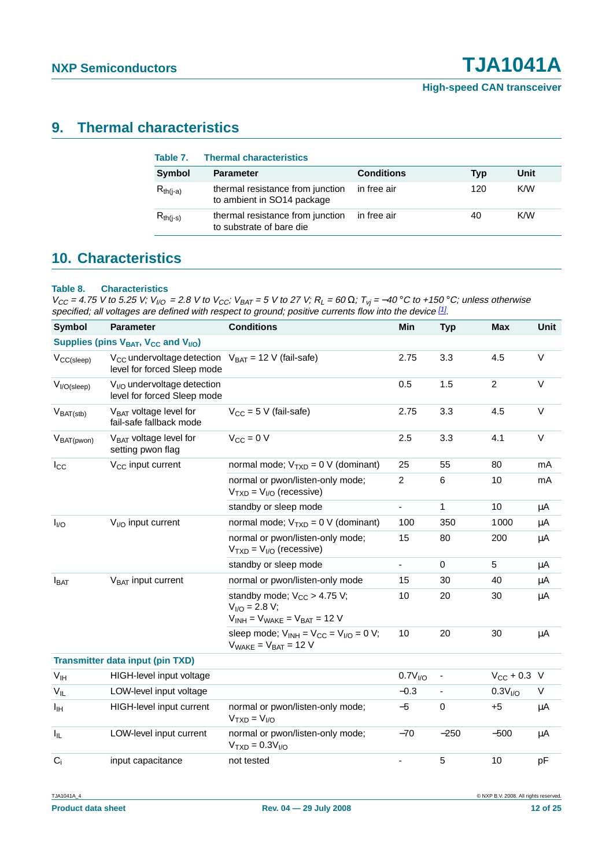# <span id="page-11-1"></span>**9. Thermal characteristics**

| Table 7.      | <b>Thermal characteristics</b>                                 |                   |     |      |
|---------------|----------------------------------------------------------------|-------------------|-----|------|
| Symbol        | <b>Parameter</b>                                               | <b>Conditions</b> | Typ | Unit |
| $R_{th(i-a)}$ | thermal resistance from junction<br>to ambient in SO14 package | in free air       | 120 | K/W  |
| $R_{th(i-s)}$ | thermal resistance from junction<br>to substrate of bare die   | in free air       | 40  | K/W  |

# <span id="page-11-2"></span>**10. Characteristics**

#### <span id="page-11-0"></span>**Table 8. Characteristics**

 $V_{CC}$  = 4.75 V to 5.25 V; V $_{\it V/O}$  = 2.8 V to V $_{CC}$ ; V $_{\it BAT}$  = 5 V to 27 V; R<sub>L</sub> = 60 Ω; T<sub>vj</sub> = −40 °C to +150 °C; unless otherwise specified; all voltages are defined with respect to ground; positive currents flow into the device  $[1]$ .

| <b>Symbol</b>    | <b>Parameter</b>                                                                                                  | <b>Conditions</b>                                                                                   | Min                 | <b>Typ</b>     | <b>Max</b>          | Unit    |
|------------------|-------------------------------------------------------------------------------------------------------------------|-----------------------------------------------------------------------------------------------------|---------------------|----------------|---------------------|---------|
|                  | Supplies (pins V <sub>BAT</sub> , V <sub>CC</sub> and V <sub>VO</sub> )                                           |                                                                                                     |                     |                |                     |         |
| $V_{CC(sleep)}$  | $V_{\text{CC}}$ undervoltage detection $V_{\text{BAT}} = 12 \text{ V}$ (fail-safe)<br>level for forced Sleep mode |                                                                                                     | 2.75                | 3.3            | 4.5                 | $\vee$  |
| $V_{I/O(sleep)}$ | $V_{I/O}$ undervoltage detection<br>level for forced Sleep mode                                                   |                                                                                                     | 0.5                 | 1.5            | $\overline{2}$      | $\vee$  |
| $V_{BAT(stb)}$   | V <sub>BAT</sub> voltage level for<br>fail-safe fallback mode                                                     | $V_{CC}$ = 5 V (fail-safe)                                                                          | 2.75                | 3.3            | 4.5                 | $\vee$  |
| VBAT(pwon)       | $VBAT$ voltage level for<br>setting pwon flag                                                                     | $V_{CC} = 0 V$                                                                                      | 2.5                 | 3.3            | 4.1                 | $\vee$  |
| $I_{\rm CC}$     | V <sub>CC</sub> input current                                                                                     | normal mode; $V_{TXD} = 0$ V (dominant)                                                             | 25                  | 55             | 80                  | mA      |
|                  |                                                                                                                   | normal or pwon/listen-only mode;<br>$VTXD = VI/O$ (recessive)                                       | $\overline{2}$      | 6              | 10                  | mA      |
|                  |                                                                                                                   | standby or sleep mode                                                                               | $\blacksquare$      | $\mathbf{1}$   | 10                  | $\mu$ A |
| I <sub>VO</sub>  | $V_{I/O}$ input current                                                                                           | normal mode; $V_{TXD} = 0$ V (dominant)                                                             | 100                 | 350            | 1000                | μA      |
|                  |                                                                                                                   | normal or pwon/listen-only mode;<br>$VTXD = VI/O$ (recessive)                                       | 15                  | 80             | 200                 | μA      |
|                  |                                                                                                                   | standby or sleep mode                                                                               | $\blacksquare$      | $\mathbf 0$    | 5                   | μA      |
| $I_{\text{BAT}}$ | $VBAT$ input current                                                                                              | normal or pwon/listen-only mode                                                                     | 15                  | 30             | 40                  | $\mu A$ |
|                  |                                                                                                                   | standby mode; $V_{CC}$ > 4.75 V;<br>$V_{I/O}$ = 2.8 V;<br>$V_{INH}$ = $V_{WAKE}$ = $V_{BAT}$ = 12 V | 10                  | 20             | 30                  | μA      |
|                  |                                                                                                                   | sleep mode; $V_{INH} = V_{CC} = V_{I/O} = 0 V$ ;<br>$V_{\text{WAKE}} = V_{\text{BAT}} = 12 V$       | 10                  | 20             | 30                  | μA      |
|                  | <b>Transmitter data input (pin TXD)</b>                                                                           |                                                                                                     |                     |                |                     |         |
| V <sub>IH</sub>  | HIGH-level input voltage                                                                                          |                                                                                                     | 0.7V <sub>I/O</sub> |                | $V_{CC}$ + 0.3 V    |         |
| $V_{IL}$         | LOW-level input voltage                                                                                           |                                                                                                     | $-0.3$              | $\blacksquare$ | 0.3V <sub>I/O</sub> | V       |
| I <sub>IH</sub>  | <b>HIGH-level input current</b>                                                                                   | normal or pwon/listen-only mode;<br>$VTXD = VI/O$                                                   | $-5$                | $\mathbf 0$    | $+5$                | μA      |
| I <sub>IL</sub>  | LOW-level input current                                                                                           | normal or pwon/listen-only mode;<br>$VTXD = 0.3VI/O$                                                | $-70$               | $-250$         | $-500$              | μA      |
| $C_i$            | input capacitance                                                                                                 | not tested                                                                                          |                     | 5              | 10                  | pF      |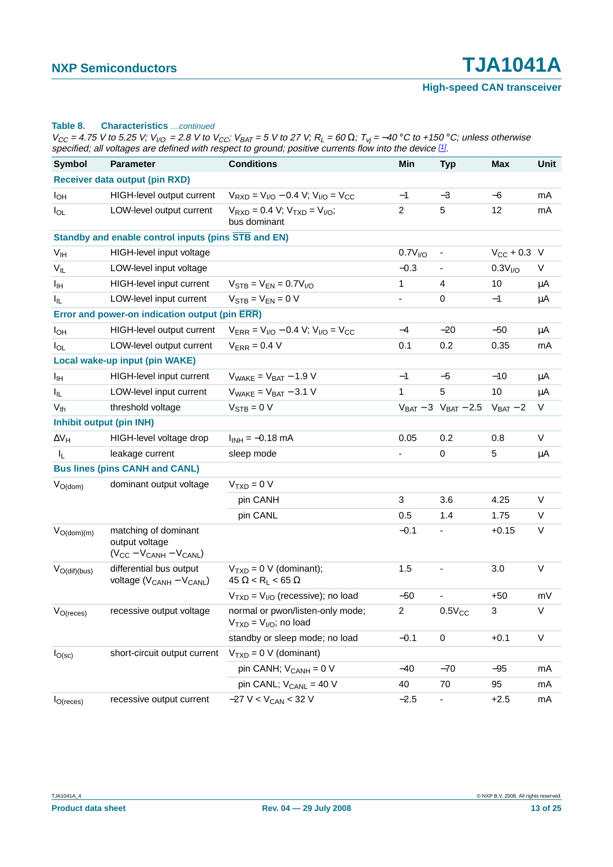### **Table 8. Characteristics** …continued

 $V_{CC}$  = 4.75 V to 5.25 V; V $_{\it I/O}$  = 2.8 V to V $_{CC}$ ; V $_{\it BAT}$  = 5 V to 27 V; R $_{\it L}$  = 60 Ω; T $_{\it VI}$  = −40 °C to +150 °C; unless otherwise specified; all voltages are defined with respect to ground; positive currents flow into the device  $[1]$ 

| Symbol              | <b>Parameter</b>                                                           | <b>Conditions</b>                                           | Min                     | <b>Typ</b>                              | <b>Max</b>          | Unit    |
|---------------------|----------------------------------------------------------------------------|-------------------------------------------------------------|-------------------------|-----------------------------------------|---------------------|---------|
|                     | <b>Receiver data output (pin RXD)</b>                                      |                                                             |                         |                                         |                     |         |
| I <sub>OH</sub>     | HIGH-level output current                                                  | $V_{RXD} = V_{I/O} - 0.4 V$ ; $V_{I/O} = V_{CC}$            | $-1$                    | $-3$                                    | $-6$                | mA      |
| $I_{OL}$            | LOW-level output current                                                   | $V_{RXD} = 0.4 V$ ; $V_{TXD} = V_{I/O}$ ;<br>bus dominant   | $\overline{2}$          | 5                                       | 12                  | mA      |
|                     | Standby and enable control inputs (pins STB and EN)                        |                                                             |                         |                                         |                     |         |
| V <sub>IH</sub>     | HIGH-level input voltage                                                   |                                                             | 0.7V <sub>I/O</sub>     | $\overline{\phantom{0}}$                | $V_{CC}$ + 0.3 V    |         |
| $V_{IL}$            | LOW-level input voltage                                                    |                                                             | $-0.3$                  | ۰                                       | 0.3V <sub>I/O</sub> | V       |
| Iін                 | HIGH-level input current                                                   | $V_{STB} = V_{EN} = 0.7 V_{I/O}$                            | $\mathbf{1}$            | 4                                       | 10                  | $\mu$ A |
| Ι'n.                | LOW-level input current                                                    | $V_{\text{STB}} = V_{\text{EN}} = 0 V$                      | ٠                       | $\mathbf 0$                             | $-1$                | μA      |
|                     | Error and power-on indication output (pin ERR)                             |                                                             |                         |                                         |                     |         |
| $I_{OH}$            | HIGH-level output current                                                  | $V_{ERR} = V_{I/O} - 0.4 V$ ; $V_{I/O} = V_{CC}$            | -4                      | $-20$                                   | $-50$               | μA      |
| $I_{OL}$            | LOW-level output current                                                   | $V_{ERR} = 0.4 V$                                           | 0.1                     | 0.2                                     | 0.35                | mA      |
|                     | <b>Local wake-up input (pin WAKE)</b>                                      |                                                             |                         |                                         |                     |         |
| Iщ                  | HIGH-level input current                                                   | $V_{\text{WAKE}} = V_{\text{BAT}} - 1.9 V$                  | $-1$                    | $-5$                                    | $-10$               | μA      |
| Ι'n.                | LOW-level input current                                                    | $V_{\text{WAKE}} = V_{\text{BAT}} - 3.1 V$                  | $\mathbf{1}$            | 5                                       | 10                  | $\mu$ A |
| $V_{th}$            | threshold voltage                                                          | $V_{\text{STB}} = 0 V$                                      |                         | $V_{BAT} - 3 V_{BAT} - 2.5 V_{BAT} - 2$ |                     | V       |
|                     | <b>Inhibit output (pin INH)</b>                                            |                                                             |                         |                                         |                     |         |
| $\Delta V_H$        | HIGH-level voltage drop                                                    | $I_{INH} = -0.18$ mA                                        | 0.05                    | 0.2                                     | 0.8                 | V       |
| $  \cdot  $         | leakage current                                                            | sleep mode                                                  |                         | $\mathbf 0$                             | 5                   | μA      |
|                     | <b>Bus lines (pins CANH and CANL)</b>                                      |                                                             |                         |                                         |                     |         |
| $V_{O(dom)}$        | dominant output voltage                                                    | $VTXD = 0 V$                                                |                         |                                         |                     |         |
|                     |                                                                            | pin CANH                                                    | 3                       | 3.6                                     | 4.25                | V       |
|                     |                                                                            | pin CANL                                                    | 0.5                     | 1.4                                     | 1.75                | V       |
| $V_{O(dom)(m)}$     | matching of dominant<br>output voltage<br>$(V_{CC} - V_{CANH} - V_{CANL})$ |                                                             | $-0.1$                  |                                         | $+0.15$             | V       |
| $V_{O(di)(bus)}$    | differential bus output<br>voltage $(V_{CANH} - V_{CANL})$                 | $VTXD = 0 V (dominant);$<br>$45 \Omega < R_L < 65 \Omega$   | 1.5                     |                                         | 3.0                 | V       |
|                     |                                                                            | $VTXD = VI/O$ (recessive); no load                          | $-50$                   | $\overline{\phantom{0}}$                | $+50$               | mV      |
| $V_{O(reces)}$      | recessive output voltage                                                   | normal or pwon/listen-only mode;<br>$VTXD = VI/O$ ; no load | $\overline{\mathbf{c}}$ | $0.5V_{CC}$                             | 3                   | V       |
|                     |                                                                            | standby or sleep mode; no load                              | $-0.1$                  | 0                                       | $+0.1$              | V       |
| I <sub>O</sub> (sc) | short-circuit output current                                               | $VTXD = 0 V (dominant)$                                     |                         |                                         |                     |         |
|                     |                                                                            | pin CANH; $V_{CANH} = 0 V$                                  | $-40$                   | $-70$                                   | $-95$               | mA      |
|                     |                                                                            | pin CANL; $V_{CANL} = 40 V$                                 | 40                      | 70                                      | 95                  | mA      |
| $I_{O(reces)}$      | recessive output current                                                   | $-27$ V < $V_{\text{CAN}}$ < 32 V                           | $-2.5$                  | ۰                                       | $+2.5$              | mA      |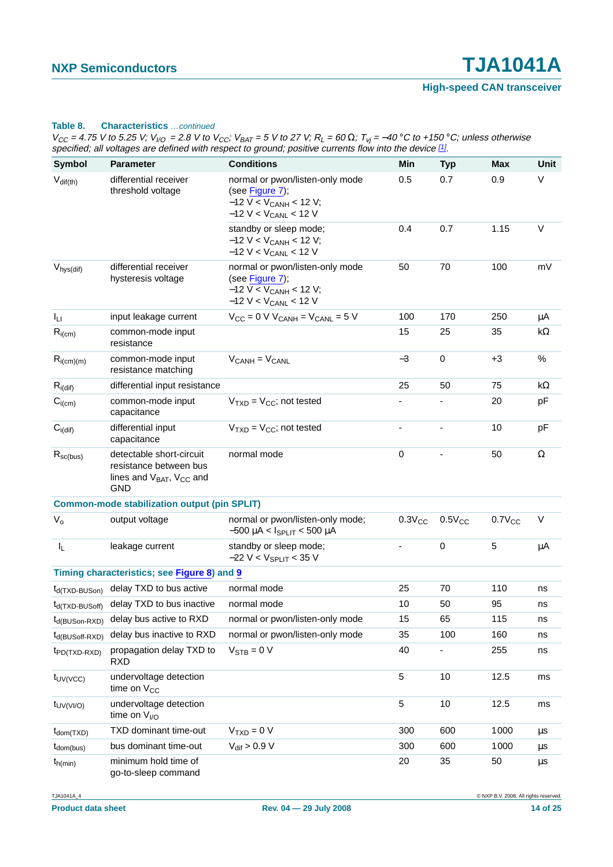### **High-speed CAN transceiver**

### **Table 8. Characteristics** …continued

 $V_{CC}$  = 4.75 V to 5.25 V; V $_{\it I/O}$  = 2.8 V to V $_{CC}$ ; V $_{\it BAT}$  = 5 V to 27 V; R $_{\it L}$  = 60 Ω; T $_{\it VI}$  = −40 °C to +150 °C; unless otherwise specified; all voltages are defined with respect to ground; positive currents flow into the device  $[1]$ 

| Symbol                         | <b>Parameter</b>                                                                                                     | <b>Conditions</b>                                                                                                               | Min                      | <b>Typ</b>                   | <b>Max</b>  | <b>Unit</b> |
|--------------------------------|----------------------------------------------------------------------------------------------------------------------|---------------------------------------------------------------------------------------------------------------------------------|--------------------------|------------------------------|-------------|-------------|
| $V_{diff(th)}$                 | differential receiver<br>threshold voltage                                                                           | normal or pwon/listen-only mode<br>(see Figure 7);<br>$-12$ V < V <sub>CANH</sub> < 12 V;<br>$-12$ V < V <sub>CANL</sub> < 12 V | 0.5                      | 0.7                          | 0.9         | V           |
|                                |                                                                                                                      | standby or sleep mode;<br>$-12$ V < V <sub>CANH</sub> < 12 V;<br>$-12$ V < V <sub>CANL</sub> < 12 V                             | 0.4                      | 0.7                          | 1.15        | V           |
| $V_{\text{hys(dif)}}$          | differential receiver<br>hysteresis voltage                                                                          | normal or pwon/listen-only mode<br>(see Figure 7);<br>$-12$ V < V <sub>CANH</sub> < 12 V;<br>$-12$ V < V <sub>CANL</sub> < 12 V | 50                       | 70                           | 100         | mV          |
| Iц                             | input leakage current                                                                                                | $V_{CC}$ = 0 V $V_{CANH}$ = $V_{CANL}$ = 5 V                                                                                    | 100                      | 170                          | 250         | μA          |
| $R_{i \, \text{(cm)}}$         | common-mode input<br>resistance                                                                                      |                                                                                                                                 | 15                       | 25                           | 35          | k $\Omega$  |
| $R_{i(cm)(m)}$                 | common-mode input<br>resistance matching                                                                             | $V_{CANH} = V_{CANL}$                                                                                                           | $-3$                     | 0                            | $+3$        | $\%$        |
| $R_{i(dif)}$                   | differential input resistance                                                                                        |                                                                                                                                 | 25                       | 50                           | 75          | $k\Omega$   |
| $C_{i(cm)}$                    | common-mode input<br>capacitance                                                                                     | $VTXD = VCC; not tested$                                                                                                        |                          |                              | 20          | pF          |
| $C_{i\left(\text{dif}\right)}$ | differential input<br>capacitance                                                                                    | $VTXD = VCC; not tested$                                                                                                        | $\overline{\phantom{0}}$ | $\qquad \qquad \blacksquare$ | 10          | pF          |
| $R_{sc(bus)}$                  | detectable short-circuit<br>resistance between bus<br>lines and V <sub>BAT</sub> , V <sub>CC</sub> and<br><b>GND</b> | normal mode                                                                                                                     | 0                        |                              | 50          | $\Omega$    |
|                                | <b>Common-mode stabilization output (pin SPLIT)</b>                                                                  |                                                                                                                                 |                          |                              |             |             |
| $V_{o}$                        | output voltage                                                                                                       | normal or pwon/listen-only mode;<br>$-500 \mu A < I_{SPLIT} < 500 \mu A$                                                        | $0.3V_{CC}$              | $0.5V_{CC}$                  | $0.7V_{CC}$ | V           |
| $ I_L $                        | leakage current                                                                                                      | standby or sleep mode;<br>$-22$ V < $V_{SPLIT}$ < 35 V                                                                          |                          | 0                            | 5           | μA          |
|                                | Timing characteristics; see Figure 8) and 9                                                                          |                                                                                                                                 |                          |                              |             |             |
| $t_{d(TXD-BUSon)}$             | delay TXD to bus active                                                                                              | normal mode                                                                                                                     | 25                       | 70                           | 110         | ns          |
| $t_{d(TXD-BUSoff)}$            | delay TXD to bus inactive                                                                                            | normal mode                                                                                                                     | 10                       | 50                           | 95          | ns          |
| $t_{d(BUSon-RXD)}$             | delay bus active to RXD                                                                                              | normal or pwon/listen-only mode                                                                                                 | 15                       | 65                           | 115         | ns          |
| $t_{d(BUSoff-RXD)}$            | delay bus inactive to RXD                                                                                            | normal or pwon/listen-only mode                                                                                                 | 35                       | 100                          | 160         | ns          |
| $tpD(TXD-RXD)$                 | propagation delay TXD to<br><b>RXD</b>                                                                               | $V_{STB} = 0 V$                                                                                                                 | 40                       | ÷,                           | 255         | ns          |
| $t_{UV(VCC)}$                  | undervoltage detection<br>time on $V_{CC}$                                                                           |                                                                                                                                 | 5                        | 10                           | 12.5        | ms          |
| $t_{UV(VI/O)}$                 | undervoltage detection<br>time on $V_{I/O}$                                                                          |                                                                                                                                 | 5                        | 10                           | 12.5        | ms          |
| $t_{\text{dom(TXD)}}$          | TXD dominant time-out                                                                                                | $VTXD = 0 V$                                                                                                                    | 300                      | 600                          | 1000        | μs          |
| $t_{dom(bus)}$                 | bus dominant time-out                                                                                                | $V_{\text{dif}} > 0.9 V$                                                                                                        | 300                      | 600                          | 1000        | μs          |
| $t_{h(min)}$                   | minimum hold time of<br>go-to-sleep command                                                                          |                                                                                                                                 | 20                       | 35                           | 50          | $\mu$ s     |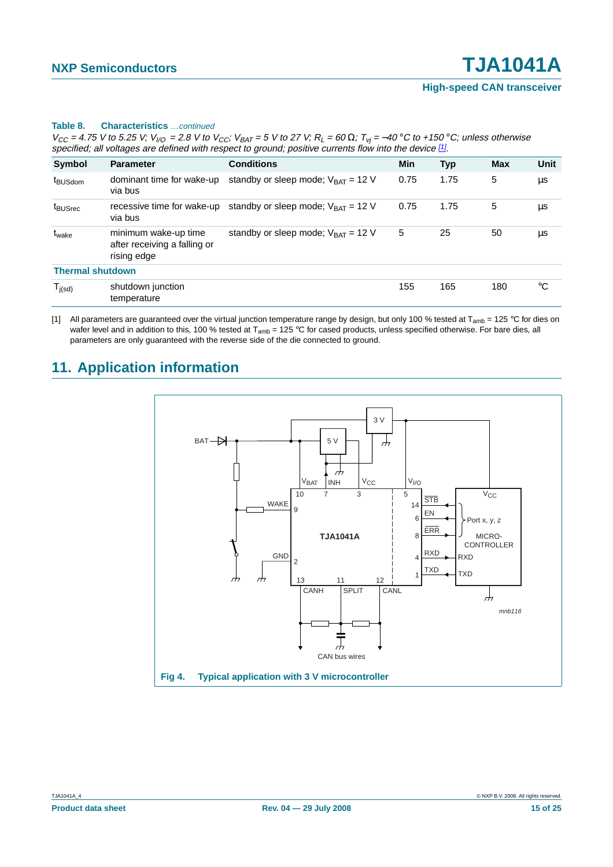### **Table 8. Characteristics** …continued

 $V_{CC}$  = 4.75 V to 5.25 V;  $V_{V/O}$  = 2.8 V to  $V_{CC}$ ;  $V_{BAT}$  = 5 V to 27 V; R<sub>L</sub> = 60  $\Omega$ ; T<sub>vj</sub> = -40 °C to +150 °C; unless otherwise specified; all voltages are defined with respect to ground; positive currents flow into the device [1].

| <b>Symbol</b>           | <b>Parameter</b>                                                    | <b>Conditions</b>                                      | Min  | <b>Typ</b> | <b>Max</b> | Unit    |  |
|-------------------------|---------------------------------------------------------------------|--------------------------------------------------------|------|------------|------------|---------|--|
| t <sub>BUSdom</sub>     | dominant time for wake-up<br>via bus                                | standby or sleep mode; $V_{\text{BAT}} = 12$ V         | 0.75 | 1.75       | 5          | $\mu$ s |  |
| t <sub>BUSrec</sub>     | recessive time for wake-up<br>via bus                               | standby or sleep mode; $V_{\text{BAT}} = 12 \text{ V}$ | 0.75 | 1.75       | 5          | μs      |  |
| $t_{\text{wake}}$       | minimum wake-up time<br>after receiving a falling or<br>rising edge | standby or sleep mode; $V_{BAT} = 12$ V                | 5    | 25         | 50         | $\mu$ s |  |
| <b>Thermal shutdown</b> |                                                                     |                                                        |      |            |            |         |  |
| $T_{j(sd)}$             | shutdown junction<br>temperature                                    |                                                        | 155  | 165        | 180        | °C      |  |

<span id="page-14-1"></span>[1] All parameters are guaranteed over the virtual junction temperature range by design, but only 100 % tested at  $T_{amb} = 125$  °C for dies on wafer level and in addition to this, 100 % tested at T<sub>amb</sub> = 125 °C for cased products, unless specified otherwise. For bare dies, all parameters are only guaranteed with the reverse side of the die connected to ground.

# <span id="page-14-2"></span>**11. Application information**

<span id="page-14-0"></span>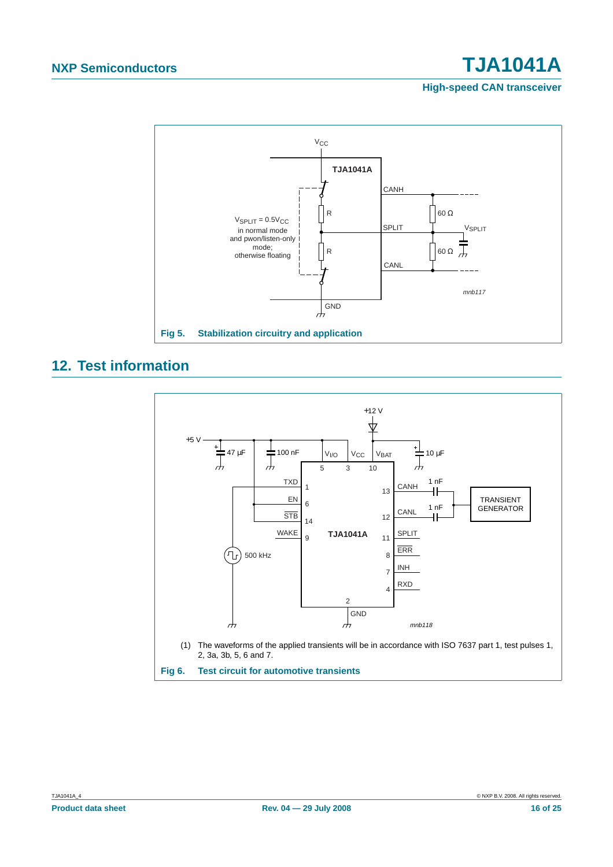**High-speed CAN transceiver**



# <span id="page-15-2"></span>**12. Test information**

<span id="page-15-1"></span><span id="page-15-0"></span>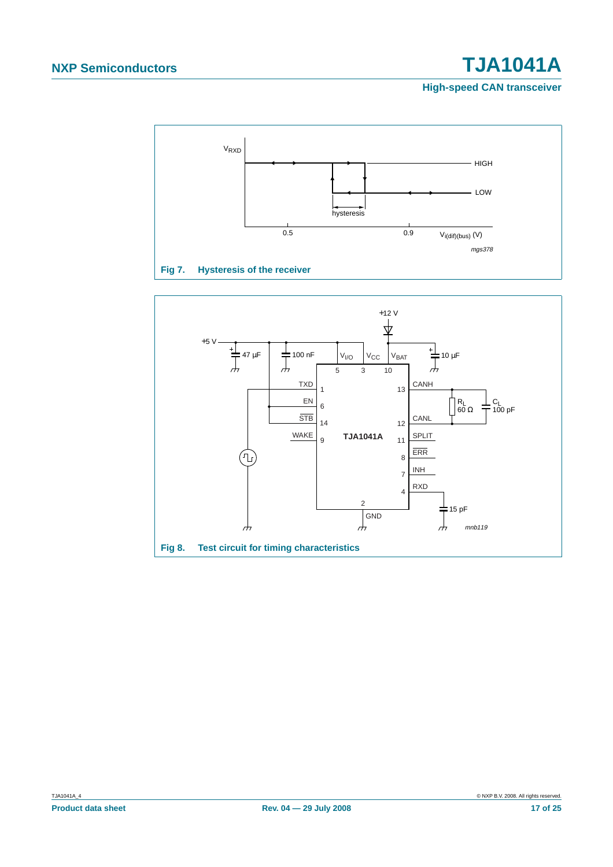**High-speed CAN transceiver**



<span id="page-16-1"></span><span id="page-16-0"></span>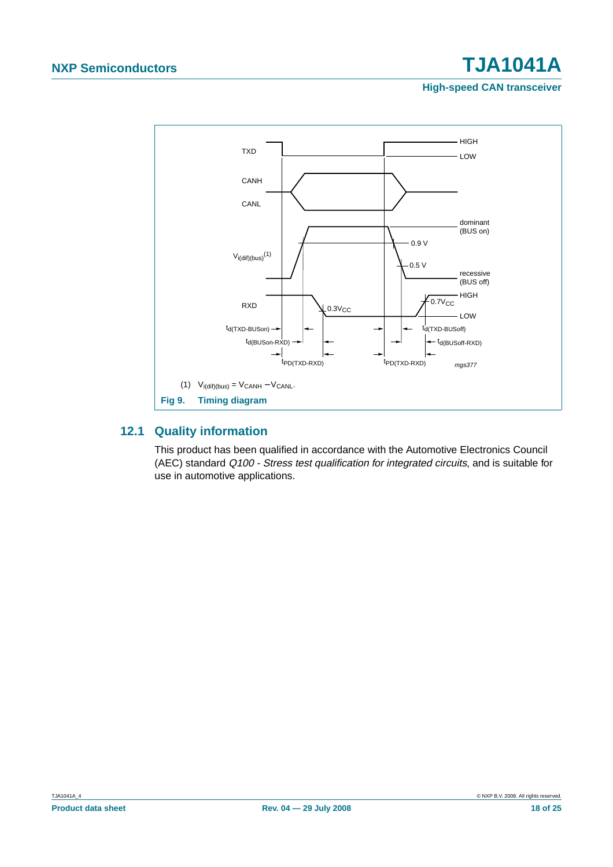**High-speed CAN transceiver**



### <span id="page-17-1"></span><span id="page-17-0"></span>**12.1 Quality information**

This product has been qualified in accordance with the Automotive Electronics Council (AEC) standard Q100 - Stress test qualification for integrated circuits, and is suitable for use in automotive applications.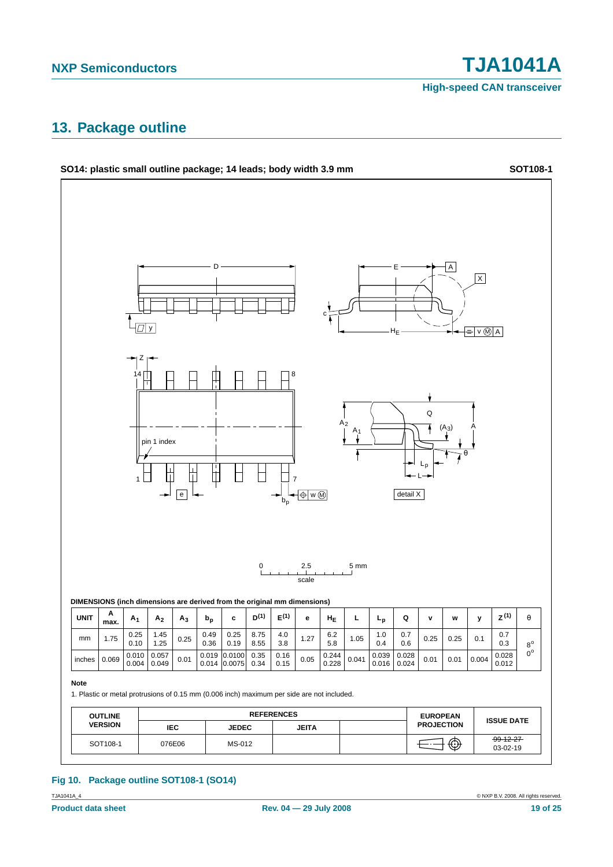**High-speed CAN transceiver**

# <span id="page-18-0"></span>**13. Package outline**



### **Fig 10. Package outline SOT108-1 (SO14)**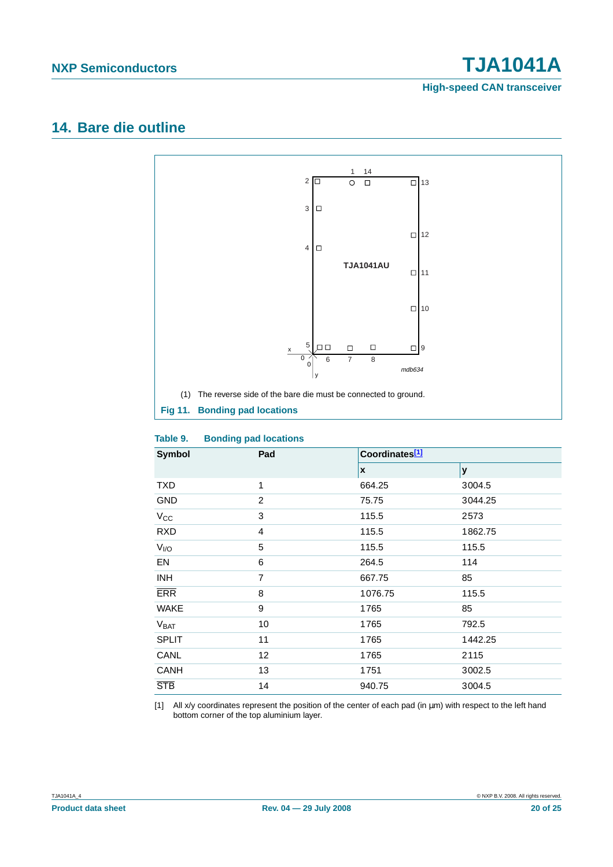# <span id="page-19-1"></span>**14. Bare die outline**



### **Table 9. Bonding pad locations**

| <b>Symbol</b>    | Pad             | Coordinates[1] |         |
|------------------|-----------------|----------------|---------|
|                  |                 | <b>X</b>       | y       |
| <b>TXD</b>       | $\mathbf{1}$    | 664.25         | 3004.5  |
| <b>GND</b>       | 2               | 75.75          | 3044.25 |
| $V_{CC}$         | 3               | 115.5          | 2573    |
| <b>RXD</b>       | 4               | 115.5          | 1862.75 |
| V <sub>I/O</sub> | 5               | 115.5          | 115.5   |
| EN               | 6               | 264.5          | 114     |
| <b>INH</b>       | $\overline{7}$  | 667.75         | 85      |
| <b>ERR</b>       | 8               | 1076.75        | 115.5   |
| <b>WAKE</b>      | 9               | 1765           | 85      |
| V <sub>BAT</sub> | 10              | 1765           | 792.5   |
| <b>SPLIT</b>     | 11              | 1765           | 1442.25 |
| CANL             | 12 <sup>2</sup> | 1765           | 2115    |
| <b>CANH</b>      | 13              | 1751           | 3002.5  |
| <b>STB</b>       | 14              | 940.75         | 3004.5  |

<span id="page-19-0"></span>[1] All x/y coordinates represent the position of the center of each pad (in  $\mu$ m) with respect to the left hand bottom corner of the top aluminium layer.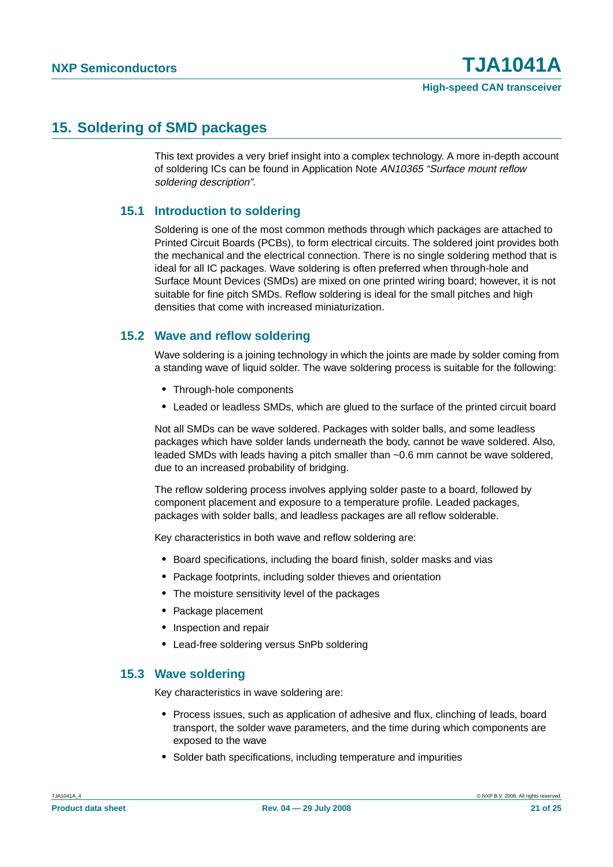# <span id="page-20-0"></span>**15. Soldering of SMD packages**

This text provides a very brief insight into a complex technology. A more in-depth account of soldering ICs can be found in Application Note AN10365 "Surface mount reflow soldering description".

### <span id="page-20-1"></span>**15.1 Introduction to soldering**

Soldering is one of the most common methods through which packages are attached to Printed Circuit Boards (PCBs), to form electrical circuits. The soldered joint provides both the mechanical and the electrical connection. There is no single soldering method that is ideal for all IC packages. Wave soldering is often preferred when through-hole and Surface Mount Devices (SMDs) are mixed on one printed wiring board; however, it is not suitable for fine pitch SMDs. Reflow soldering is ideal for the small pitches and high densities that come with increased miniaturization.

### <span id="page-20-2"></span>**15.2 Wave and reflow soldering**

Wave soldering is a joining technology in which the joints are made by solder coming from a standing wave of liquid solder. The wave soldering process is suitable for the following:

- **•** Through-hole components
- **•** Leaded or leadless SMDs, which are glued to the surface of the printed circuit board

Not all SMDs can be wave soldered. Packages with solder balls, and some leadless packages which have solder lands underneath the body, cannot be wave soldered. Also, leaded SMDs with leads having a pitch smaller than ~0.6 mm cannot be wave soldered, due to an increased probability of bridging.

The reflow soldering process involves applying solder paste to a board, followed by component placement and exposure to a temperature profile. Leaded packages, packages with solder balls, and leadless packages are all reflow solderable.

Key characteristics in both wave and reflow soldering are:

- **•** Board specifications, including the board finish, solder masks and vias
- **•** Package footprints, including solder thieves and orientation
- **•** The moisture sensitivity level of the packages
- **•** Package placement
- **•** Inspection and repair
- **•** Lead-free soldering versus SnPb soldering

### <span id="page-20-3"></span>**15.3 Wave soldering**

Key characteristics in wave soldering are:

- **•** Process issues, such as application of adhesive and flux, clinching of leads, board transport, the solder wave parameters, and the time during which components are exposed to the wave
- **•** Solder bath specifications, including temperature and impurities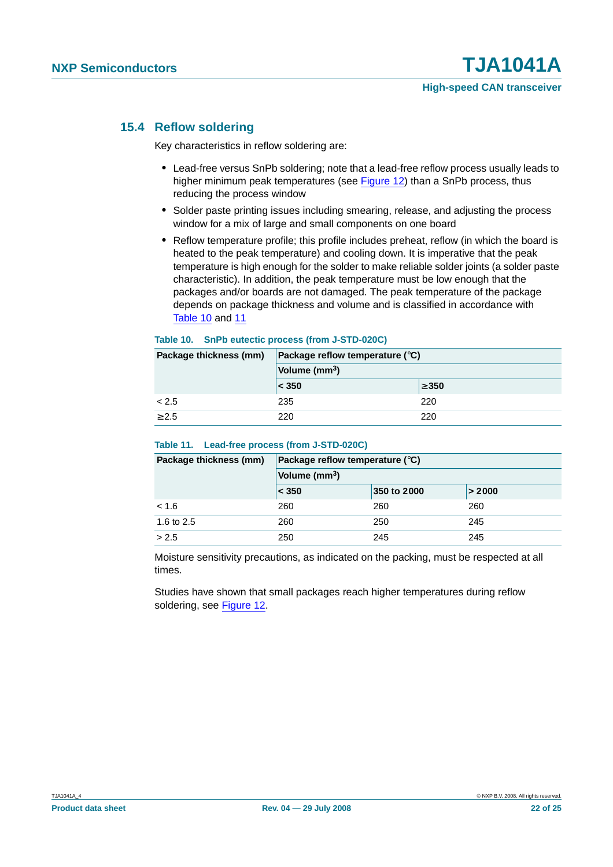### <span id="page-21-0"></span>**15.4 Reflow soldering**

Key characteristics in reflow soldering are:

- **•** Lead-free versus SnPb soldering; note that a lead-free reflow process usually leads to higher minimum peak temperatures (see Figure 12) than a SnPb process, thus reducing the process window
- **•** Solder paste printing issues including smearing, release, and adjusting the process window for a mix of large and small components on one board
- **•** Reflow temperature profile; this profile includes preheat, reflow (in which the board is heated to the peak temperature) and cooling down. It is imperative that the peak temperature is high enough for the solder to make reliable solder joints (a solder paste characteristic). In addition, the peak temperature must be low enough that the packages and/or boards are not damaged. The peak temperature of the package depends on package thickness and volume and is classified in accordance with Table 10 and 11

#### **Table 10. SnPb eutectic process (from J-STD-020C)**

| Package thickness (mm) | Package reflow temperature $(^\circ \text{C})$ |            |
|------------------------|------------------------------------------------|------------|
|                        | Volume (mm <sup>3</sup> )                      |            |
|                        | $ <$ 350                                       | $\geq 350$ |
| < 2.5                  | 235                                            | 220        |
| > 2.5                  | 220                                            | 220        |

#### **Table 11. Lead-free process (from J-STD-020C)**

| Package thickness (mm) | Package reflow temperature $(^\circ \mathsf{C})$ |             |        |
|------------------------|--------------------------------------------------|-------------|--------|
|                        | Volume $(mm3)$                                   |             |        |
|                        | < 350                                            | 350 to 2000 | > 2000 |
| < 1.6                  | 260                                              | 260         | 260    |
| 1.6 to 2.5             | 260                                              | 250         | 245    |
| > 2.5                  | 250                                              | 245         | 245    |

Moisture sensitivity precautions, as indicated on the packing, must be respected at all times.

Studies have shown that small packages reach higher temperatures during reflow soldering, see Figure 12.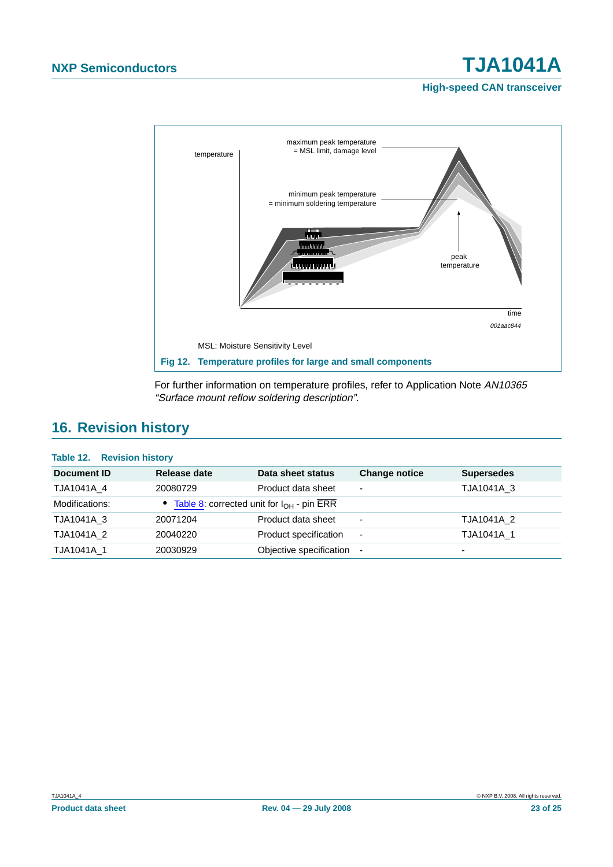**High-speed CAN transceiver**



For further information on temperature profiles, refer to Application Note AN10365 "Surface mount reflow soldering description".

# <span id="page-22-0"></span>**16. Revision history**

### **Table 12. Revision history**

| Document ID    | Release date                                     | Data sheet status       | <b>Change notice</b>     | <b>Supersedes</b> |
|----------------|--------------------------------------------------|-------------------------|--------------------------|-------------------|
| TJA1041A 4     | 20080729                                         | Product data sheet      | $\overline{\phantom{0}}$ | TJA1041A 3        |
| Modifications: | • Table 8: corrected unit for $I_{OH}$ - pin ERR |                         |                          |                   |
| TJA1041A 3     | 20071204                                         | Product data sheet      | ٠                        | TJA1041A 2        |
| TJA1041A 2     | 20040220                                         | Product specification   | $\overline{\phantom{a}}$ | TJA1041A 1        |
| TJA1041A 1     | 20030929                                         | Objective specification | $\overline{\phantom{a}}$ | ۰                 |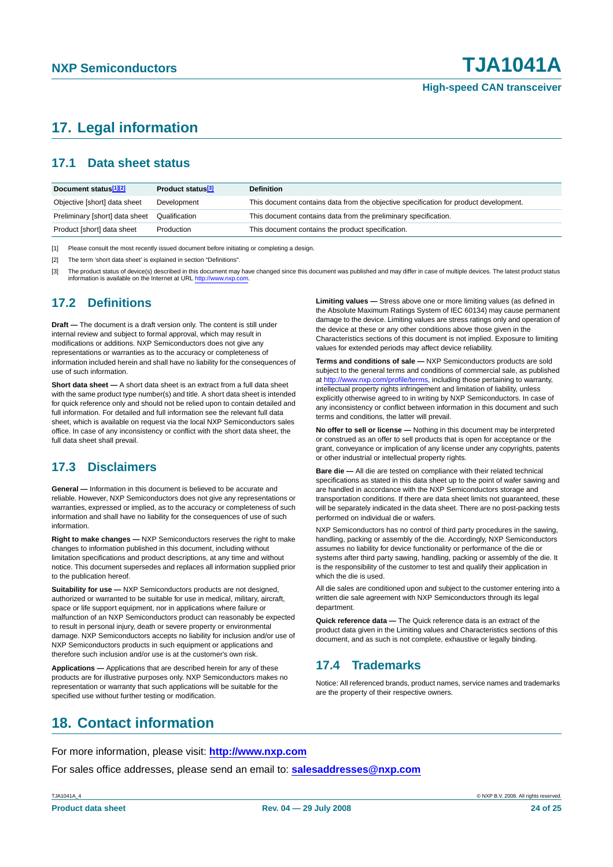# <span id="page-23-0"></span>**17. Legal information**

### <span id="page-23-1"></span>**17.1 Data sheet status**

| Document status <sup>[1][2]</sup> | Product status <sup>[3]</sup> | <b>Definition</b>                                                                     |
|-----------------------------------|-------------------------------|---------------------------------------------------------------------------------------|
| Objective [short] data sheet      | Development                   | This document contains data from the objective specification for product development. |
| Preliminary [short] data sheet    | Qualification                 | This document contains data from the preliminary specification.                       |
| Product [short] data sheet        | Production                    | This document contains the product specification.                                     |

[1] Please consult the most recently issued document before initiating or completing a design.

[2] The term 'short data sheet' is explained in section "Definitions".

[3] The product status of device(s) described in this document may have changed since this document was published and may differ in case of multiple devices. The latest product status information is available on the Internet at URL <http://www.nxp.com>.

### <span id="page-23-2"></span>**17.2 Definitions**

**Draft —** The document is a draft version only. The content is still under internal review and subject to formal approval, which may result in modifications or additions. NXP Semiconductors does not give any representations or warranties as to the accuracy or completeness of information included herein and shall have no liability for the consequences of use of such information.

**Short data sheet —** A short data sheet is an extract from a full data sheet with the same product type number(s) and title. A short data sheet is intended for quick reference only and should not be relied upon to contain detailed and full information. For detailed and full information see the relevant full data sheet, which is available on request via the local NXP Semiconductors sales office. In case of any inconsistency or conflict with the short data sheet, the full data sheet shall prevail.

### <span id="page-23-3"></span>**17.3 Disclaimers**

**General —** Information in this document is believed to be accurate and reliable. However, NXP Semiconductors does not give any representations or warranties, expressed or implied, as to the accuracy or completeness of such information and shall have no liability for the consequences of use of such information.

**Right to make changes —** NXP Semiconductors reserves the right to make changes to information published in this document, including without limitation specifications and product descriptions, at any time and without notice. This document supersedes and replaces all information supplied prior to the publication hereof.

**Suitability for use - NXP** Semiconductors products are not designed, authorized or warranted to be suitable for use in medical, military, aircraft, space or life support equipment, nor in applications where failure or malfunction of an NXP Semiconductors product can reasonably be expected to result in personal injury, death or severe property or environmental damage. NXP Semiconductors accepts no liability for inclusion and/or use of NXP Semiconductors products in such equipment or applications and therefore such inclusion and/or use is at the customer's own risk.

**Applications —** Applications that are described herein for any of these products are for illustrative purposes only. NXP Semiconductors makes no representation or warranty that such applications will be suitable for the specified use without further testing or modification.

**Limiting values —** Stress above one or more limiting values (as defined in the Absolute Maximum Ratings System of IEC 60134) may cause permanent damage to the device. Limiting values are stress ratings only and operation of the device at these or any other conditions above those given in the Characteristics sections of this document is not implied. Exposure to limiting values for extended periods may affect device reliability.

**Terms and conditions of sale —** NXP Semiconductors products are sold subject to the general terms and conditions of commercial sale, as published at <http://www.nxp.com/profile/terms>, including those pertaining to warranty, intellectual property rights infringement and limitation of liability, unless explicitly otherwise agreed to in writing by NXP Semiconductors. In case of any inconsistency or conflict between information in this document and such terms and conditions, the latter will prevail.

**No offer to sell or license —** Nothing in this document may be interpreted or construed as an offer to sell products that is open for acceptance or the grant, conveyance or implication of any license under any copyrights, patents or other industrial or intellectual property rights.

**Bare die —** All die are tested on compliance with their related technical specifications as stated in this data sheet up to the point of wafer sawing and are handled in accordance with the NXP Semiconductors storage and transportation conditions. If there are data sheet limits not guaranteed, these will be separately indicated in the data sheet. There are no post-packing tests performed on individual die or wafers.

NXP Semiconductors has no control of third party procedures in the sawing, handling, packing or assembly of the die. Accordingly, NXP Semiconductors assumes no liability for device functionality or performance of the die or systems after third party sawing, handling, packing or assembly of the die. It is the responsibility of the customer to test and qualify their application in which the die is used.

All die sales are conditioned upon and subject to the customer entering into a written die sale agreement with NXP Semiconductors through its legal department.

**Quick reference data —** The Quick reference data is an extract of the product data given in the Limiting values and Characteristics sections of this document, and as such is not complete, exhaustive or legally binding.

### <span id="page-23-4"></span>**17.4 Trademarks**

Notice: All referenced brands, product names, service names and trademarks are the property of their respective owners.

# <span id="page-23-5"></span>**18. Contact information**

For more information, please visit: **http://www.nxp.com**

For sales office addresses, please send an email to: **salesaddresses@nxp.com**